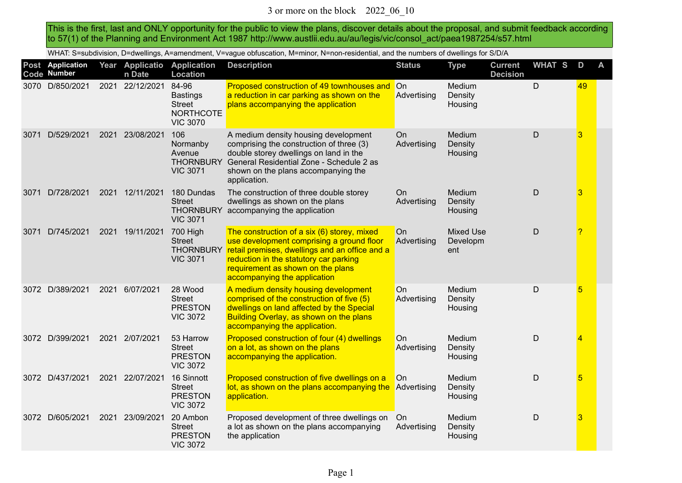This is the first, last and ONLY opportunity for the public to view the plans, discover details about the proposal, and submit feedback according to 57(1) of the Planning and Environment Act 1987 http://www.austlii.edu.au/au/legis/vic/consol\_act/paea1987254/s57.html

WHAT: S=subdivision, D=dwellings, A=amendment, V=vague obfuscation, M=minor, N=non-residential, and the numbers of dwellings for S/D/A

|      | Post Application<br>Code Number |      | Year Applicatio<br>n Date | <b>Application</b><br><b>Location</b>                                            | <b>Description</b>                                                                                                                                                                                                                                                  | <b>Status</b>     | <b>Type</b>                         | <b>Current</b><br><b>Decision</b> | <b>WHAT S</b> | D  | A |
|------|---------------------------------|------|---------------------------|----------------------------------------------------------------------------------|---------------------------------------------------------------------------------------------------------------------------------------------------------------------------------------------------------------------------------------------------------------------|-------------------|-------------------------------------|-----------------------------------|---------------|----|---|
|      | 3070 D/850/2021                 |      | 2021 22/12/2021           | 84-96<br><b>Bastings</b><br><b>Street</b><br><b>NORTHCOTE</b><br><b>VIC 3070</b> | Proposed construction of 49 townhouses and On<br>a reduction in car parking as shown on the<br>plans accompanying the application                                                                                                                                   | Advertising       | Medium<br>Density<br>Housing        |                                   | D             | 49 |   |
| 3071 | D/529/2021                      | 2021 | 23/08/2021                | 106<br>Normanby<br>Avenue<br><b>THORNBURY</b><br><b>VIC 3071</b>                 | A medium density housing development<br>comprising the construction of three (3)<br>double storey dwellings on land in the<br>General Residential Zone - Schedule 2 as<br>shown on the plans accompanying the<br>application.                                       | On<br>Advertising | Medium<br>Density<br>Housing        |                                   | $\mathsf{D}$  | 3  |   |
| 3071 | D/728/2021                      |      | 2021 12/11/2021           | 180 Dundas<br><b>Street</b><br><b>THORNBURY</b><br><b>VIC 3071</b>               | The construction of three double storey<br>dwellings as shown on the plans<br>accompanying the application                                                                                                                                                          | On<br>Advertising | Medium<br>Density<br>Housing        |                                   | $\mathsf{D}$  | 3  |   |
| 3071 | D/745/2021                      |      | 2021 19/11/2021           | 700 High<br><b>Street</b><br><b>VIC 3071</b>                                     | The construction of a six (6) storey, mixed<br>use development comprising a ground floor<br>THORNBURY retail premises, dwellings and an office and a<br>reduction in the statutory car parking<br>requirement as shown on the plans<br>accompanying the application | On<br>Advertising | <b>Mixed Use</b><br>Developm<br>ent |                                   | $\mathsf{D}$  | 2  |   |
|      | 3072 D/389/2021                 | 2021 | 6/07/2021                 | 28 Wood<br><b>Street</b><br><b>PRESTON</b><br><b>VIC 3072</b>                    | A medium density housing development<br>comprised of the construction of five (5)<br>dwellings on land affected by the Special<br>Building Overlay, as shown on the plans<br>accompanying the application.                                                          | On<br>Advertising | Medium<br>Density<br>Housing        |                                   | D             | 5  |   |
|      | 3072 D/399/2021                 |      | 2021 2/07/2021            | 53 Harrow<br><b>Street</b><br><b>PRESTON</b><br><b>VIC 3072</b>                  | Proposed construction of four (4) dwellings<br>on a lot, as shown on the plans<br>accompanying the application.                                                                                                                                                     | On<br>Advertising | Medium<br>Density<br>Housing        |                                   | $\mathsf{D}$  | 4  |   |
|      | 3072 D/437/2021                 |      | 2021 22/07/2021           | 16 Sinnott<br><b>Street</b><br><b>PRESTON</b><br><b>VIC 3072</b>                 | Proposed construction of five dwellings on a<br>lot, as shown on the plans accompanying the<br>application.                                                                                                                                                         | On<br>Advertising | Medium<br>Density<br>Housing        |                                   | $\mathsf{D}$  | 5  |   |
|      | 3072 D/605/2021                 | 2021 | 23/09/2021                | 20 Ambon<br><b>Street</b><br><b>PRESTON</b><br><b>VIC 3072</b>                   | Proposed development of three dwellings on<br>a lot as shown on the plans accompanying<br>the application                                                                                                                                                           | On<br>Advertising | Medium<br>Density<br>Housing        |                                   | $\mathsf{D}$  | 3  |   |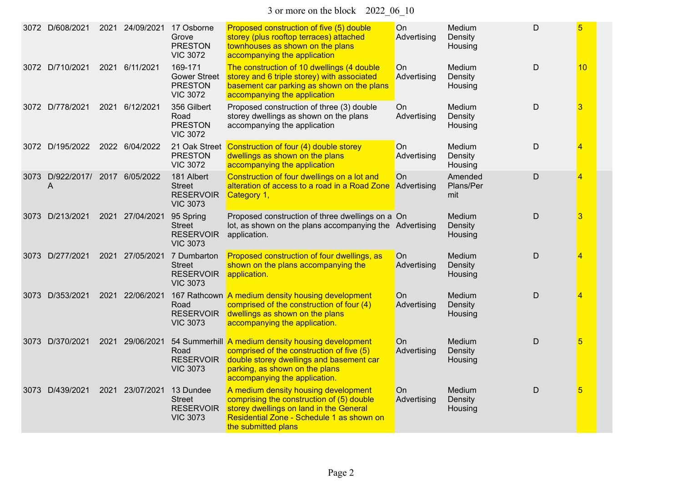3 or more on the block 2022\_06\_10

|      | 3072 D/608/2021                 |      | 2021 24/09/2021 | 17 Osborne<br>Grove<br><b>PRESTON</b><br><b>VIC 3072</b>            | Proposed construction of five (5) double<br>storey (plus rooftop terraces) attached<br>townhouses as shown on the plans<br>accompanying the application                                                        | On<br>Advertising             | Medium<br>Density<br>Housing | D | 5  |
|------|---------------------------------|------|-----------------|---------------------------------------------------------------------|----------------------------------------------------------------------------------------------------------------------------------------------------------------------------------------------------------------|-------------------------------|------------------------------|---|----|
|      | 3072 D/710/2021                 | 2021 | 6/11/2021       | 169-171<br><b>Gower Street</b><br><b>PRESTON</b><br><b>VIC 3072</b> | The construction of 10 dwellings (4 double<br>storey and 6 triple storey) with associated<br>basement car parking as shown on the plans<br>accompanying the application                                        | On<br>Advertising             | Medium<br>Density<br>Housing | D | 10 |
|      | 3072 D/778/2021                 |      | 2021 6/12/2021  | 356 Gilbert<br>Road<br><b>PRESTON</b><br><b>VIC 3072</b>            | Proposed construction of three (3) double<br>storey dwellings as shown on the plans<br>accompanying the application                                                                                            | On<br>Advertising             | Medium<br>Density<br>Housing | D | 3  |
|      | 3072 D/195/2022                 |      | 2022 6/04/2022  | 21 Oak Street<br><b>PRESTON</b><br><b>VIC 3072</b>                  | Construction of four (4) double storey<br>dwellings as shown on the plans<br>accompanying the application                                                                                                      | O <sub>n</sub><br>Advertising | Medium<br>Density<br>Housing | D | 4  |
| 3073 | D/922/2017/ 2017 6/05/2022<br>A |      |                 | 181 Albert<br><b>Street</b><br><b>RESERVOIR</b><br><b>VIC 3073</b>  | Construction of four dwellings on a lot and<br>alteration of access to a road in a Road Zone<br>Category 1,                                                                                                    | On<br>Advertising             | Amended<br>Plans/Per<br>mit  | D | 4  |
|      | 3073 D/213/2021                 |      | 2021 27/04/2021 | 95 Spring<br><b>Street</b><br><b>RESERVOIR</b><br><b>VIC 3073</b>   | Proposed construction of three dwellings on a On<br>lot, as shown on the plans accompanying the Advertising<br>application.                                                                                    |                               | Medium<br>Density<br>Housing | D | 3  |
|      | 3073 D/277/2021                 |      | 2021 27/05/2021 | 7 Dumbarton<br><b>Street</b><br><b>RESERVOIR</b><br><b>VIC 3073</b> | Proposed construction of four dwellings, as<br>shown on the plans accompanying the<br>application.                                                                                                             | On<br>Advertising             | Medium<br>Density<br>Housing | D | 4  |
| 3073 | D/353/2021                      |      | 2021 22/06/2021 | Road<br><b>RESERVOIR</b><br><b>VIC 3073</b>                         | 167 Rathcown A medium density housing development<br>comprised of the construction of four (4)<br>dwellings as shown on the plans<br>accompanying the application.                                             | On<br>Advertising             | Medium<br>Density<br>Housing | D | 4  |
|      | 3073 D/370/2021                 |      | 2021 29/06/2021 | Road<br><b>RESERVOIR</b><br><b>VIC 3073</b>                         | 54 Summerhill A medium density housing development<br>comprised of the construction of five (5)<br>double storey dwellings and basement car<br>parking, as shown on the plans<br>accompanying the application. | On<br>Advertising             | Medium<br>Density<br>Housing | D | 5  |
| 3073 | D/439/2021                      |      | 2021 23/07/2021 | 13 Dundee<br><b>Street</b><br><b>RESERVOIR</b><br><b>VIC 3073</b>   | A medium density housing development<br>comprising the construction of (5) double<br>storey dwellings on land in the General<br>Residential Zone - Schedule 1 as shown on<br>the submitted plans               | On<br>Advertising             | Medium<br>Density<br>Housing | D | 5  |